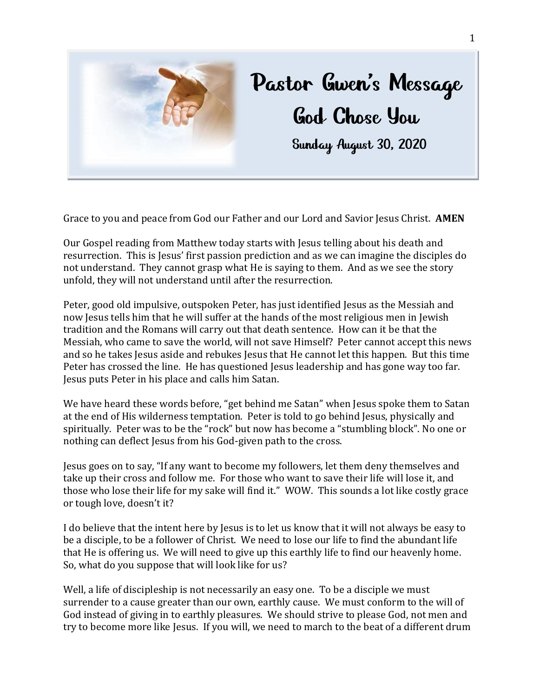

Grace to you and peace from God our Father and our Lord and Savior Jesus Christ. **AMEN**

Our Gospel reading from Matthew today starts with Jesus telling about his death and resurrection. This is Jesus' first passion prediction and as we can imagine the disciples do not understand. They cannot grasp what He is saying to them. And as we see the story unfold, they will not understand until after the resurrection.

Peter, good old impulsive, outspoken Peter, has just identified Jesus as the Messiah and now Jesus tells him that he will suffer at the hands of the most religious men in Jewish tradition and the Romans will carry out that death sentence. How can it be that the Messiah, who came to save the world, will not save Himself? Peter cannot accept this news and so he takes Jesus aside and rebukes Jesus that He cannot let this happen. But this time Peter has crossed the line. He has questioned Jesus leadership and has gone way too far. Jesus puts Peter in his place and calls him Satan.

We have heard these words before, "get behind me Satan" when Jesus spoke them to Satan at the end of His wilderness temptation. Peter is told to go behind Jesus, physically and spiritually. Peter was to be the "rock" but now has become a "stumbling block". No one or nothing can deflect Jesus from his God-given path to the cross.

Jesus goes on to say, "If any want to become my followers, let them deny themselves and take up their cross and follow me. For those who want to save their life will lose it, and those who lose their life for my sake will find it." WOW. This sounds a lot like costly grace or tough love, doesn't it?

I do believe that the intent here by Jesus is to let us know that it will not always be easy to be a disciple, to be a follower of Christ. We need to lose our life to find the abundant life that He is offering us. We will need to give up this earthly life to find our heavenly home. So, what do you suppose that will look like for us?

Well, a life of discipleship is not necessarily an easy one. To be a disciple we must surrender to a cause greater than our own, earthly cause. We must conform to the will of God instead of giving in to earthly pleasures. We should strive to please God, not men and try to become more like Jesus. If you will, we need to march to the beat of a different drum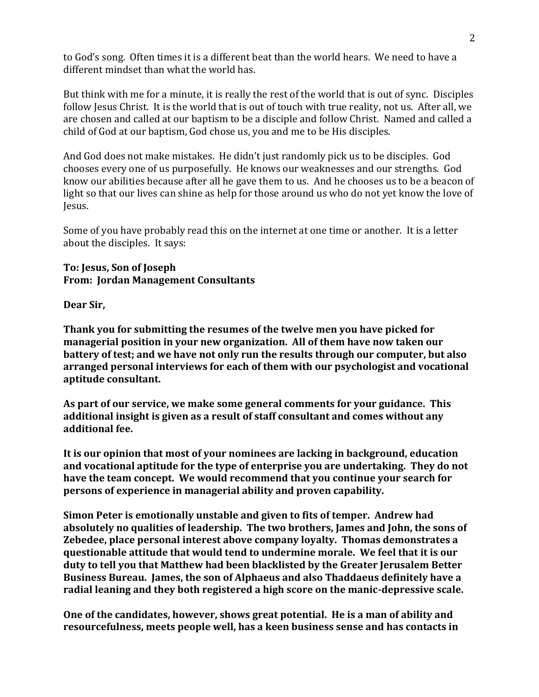to God's song. Often times it is a different beat than the world hears. We need to have a different mindset than what the world has.

But think with me for a minute, it is really the rest of the world that is out of sync. Disciples follow Jesus Christ. It is the world that is out of touch with true reality, not us. After all, we are chosen and called at our baptism to be a disciple and follow Christ. Named and called a child of God at our baptism, God chose us, you and me to be His disciples.

And God does not make mistakes. He didn't just randomly pick us to be disciples. God chooses every one of us purposefully. He knows our weaknesses and our strengths. God know our abilities because after all he gave them to us. And he chooses us to be a beacon of light so that our lives can shine as help for those around us who do not yet know the love of Jesus.

Some of you have probably read this on the internet at one time or another. It is a letter about the disciples. It says:

## **To: Jesus, Son of Joseph From: Jordan Management Consultants**

**Dear Sir,**

**Thank you for submitting the resumes of the twelve men you have picked for managerial position in your new organization. All of them have now taken our battery of test; and we have not only run the results through our computer, but also arranged personal interviews for each of them with our psychologist and vocational aptitude consultant.** 

**As part of our service, we make some general comments for your guidance. This additional insight is given as a result of staff consultant and comes without any additional fee.**

**It is our opinion that most of your nominees are lacking in background, education and vocational aptitude for the type of enterprise you are undertaking. They do not have the team concept. We would recommend that you continue your search for persons of experience in managerial ability and proven capability.** 

**Simon Peter is emotionally unstable and given to fits of temper. Andrew had absolutely no qualities of leadership. The two brothers, James and John, the sons of Zebedee, place personal interest above company loyalty. Thomas demonstrates a questionable attitude that would tend to undermine morale. We feel that it is our duty to tell you that Matthew had been blacklisted by the Greater Jerusalem Better Business Bureau. James, the son of Alphaeus and also Thaddaeus definitely have a radial leaning and they both registered a high score on the manic-depressive scale.** 

**One of the candidates, however, shows great potential. He is a man of ability and resourcefulness, meets people well, has a keen business sense and has contacts in**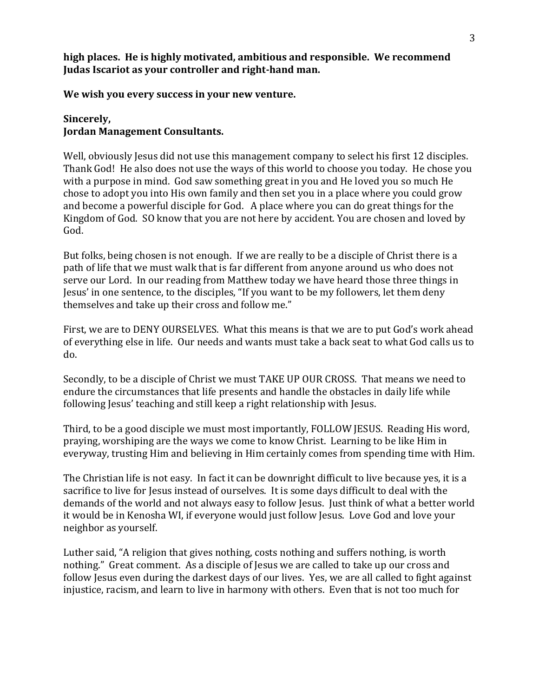**high places. He is highly motivated, ambitious and responsible. We recommend Judas Iscariot as your controller and right-hand man.** 

**We wish you every success in your new venture.** 

## **Sincerely, Jordan Management Consultants.**

Well, obviously Jesus did not use this management company to select his first 12 disciples. Thank God! He also does not use the ways of this world to choose you today. He chose you with a purpose in mind. God saw something great in you and He loved you so much He chose to adopt you into His own family and then set you in a place where you could grow and become a powerful disciple for God. A place where you can do great things for the Kingdom of God. SO know that you are not here by accident. You are chosen and loved by God.

But folks, being chosen is not enough. If we are really to be a disciple of Christ there is a path of life that we must walk that is far different from anyone around us who does not serve our Lord. In our reading from Matthew today we have heard those three things in Jesus' in one sentence, to the disciples, "If you want to be my followers, let them deny themselves and take up their cross and follow me."

First, we are to DENY OURSELVES. What this means is that we are to put God's work ahead of everything else in life. Our needs and wants must take a back seat to what God calls us to do.

Secondly, to be a disciple of Christ we must TAKE UP OUR CROSS. That means we need to endure the circumstances that life presents and handle the obstacles in daily life while following Jesus' teaching and still keep a right relationship with Jesus.

Third, to be a good disciple we must most importantly, FOLLOW JESUS. Reading His word, praying, worshiping are the ways we come to know Christ. Learning to be like Him in everyway, trusting Him and believing in Him certainly comes from spending time with Him.

The Christian life is not easy. In fact it can be downright difficult to live because yes, it is a sacrifice to live for Jesus instead of ourselves. It is some days difficult to deal with the demands of the world and not always easy to follow Jesus. Just think of what a better world it would be in Kenosha WI, if everyone would just follow Jesus. Love God and love your neighbor as yourself.

Luther said, "A religion that gives nothing, costs nothing and suffers nothing, is worth nothing." Great comment. As a disciple of Jesus we are called to take up our cross and follow Jesus even during the darkest days of our lives. Yes, we are all called to fight against injustice, racism, and learn to live in harmony with others. Even that is not too much for